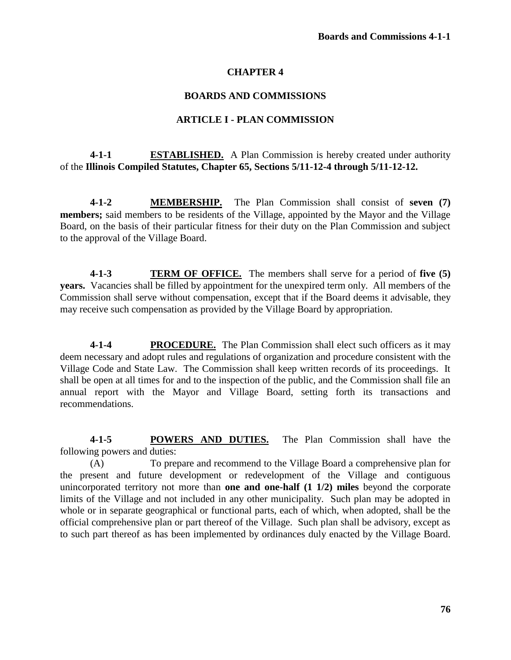## **CHAPTER 4**

## **BOARDS AND COMMISSIONS**

#### **ARTICLE I - PLAN COMMISSION**

# **4-1-1 ESTABLISHED.** A Plan Commission is hereby created under authority of the **Illinois Compiled Statutes, Chapter 65, Sections 5/11-12-4 through 5/11-12-12.**

**4-1-2 MEMBERSHIP.** The Plan Commission shall consist of **seven (7) members;** said members to be residents of the Village, appointed by the Mayor and the Village Board, on the basis of their particular fitness for their duty on the Plan Commission and subject to the approval of the Village Board.

**4-1-3 TERM OF OFFICE.** The members shall serve for a period of **five (5) years.** Vacancies shall be filled by appointment for the unexpired term only. All members of the Commission shall serve without compensation, except that if the Board deems it advisable, they may receive such compensation as provided by the Village Board by appropriation.

**4-1-4 PROCEDURE.** The Plan Commission shall elect such officers as it may deem necessary and adopt rules and regulations of organization and procedure consistent with the Village Code and State Law. The Commission shall keep written records of its proceedings. It shall be open at all times for and to the inspection of the public, and the Commission shall file an annual report with the Mayor and Village Board, setting forth its transactions and recommendations.

**4-1-5 POWERS AND DUTIES.** The Plan Commission shall have the following powers and duties:

(A) To prepare and recommend to the Village Board a comprehensive plan for the present and future development or redevelopment of the Village and contiguous unincorporated territory not more than **one and one-half (1 1/2) miles** beyond the corporate limits of the Village and not included in any other municipality. Such plan may be adopted in whole or in separate geographical or functional parts, each of which, when adopted, shall be the official comprehensive plan or part thereof of the Village. Such plan shall be advisory, except as to such part thereof as has been implemented by ordinances duly enacted by the Village Board.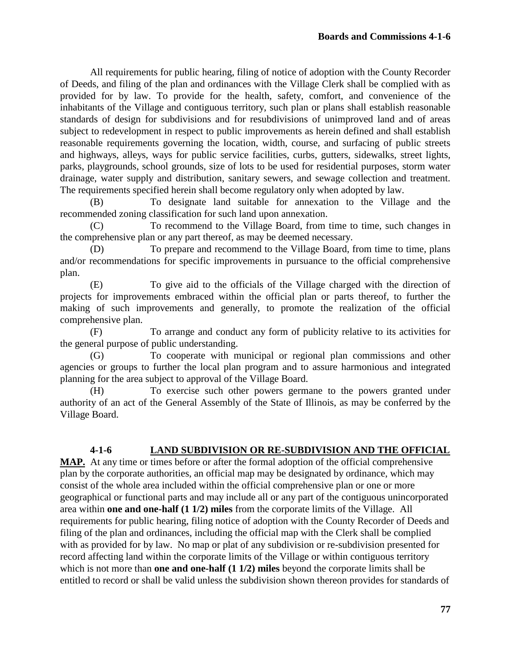All requirements for public hearing, filing of notice of adoption with the County Recorder of Deeds, and filing of the plan and ordinances with the Village Clerk shall be complied with as provided for by law. To provide for the health, safety, comfort, and convenience of the inhabitants of the Village and contiguous territory, such plan or plans shall establish reasonable standards of design for subdivisions and for resubdivisions of unimproved land and of areas subject to redevelopment in respect to public improvements as herein defined and shall establish reasonable requirements governing the location, width, course, and surfacing of public streets and highways, alleys, ways for public service facilities, curbs, gutters, sidewalks, street lights, parks, playgrounds, school grounds, size of lots to be used for residential purposes, storm water drainage, water supply and distribution, sanitary sewers, and sewage collection and treatment. The requirements specified herein shall become regulatory only when adopted by law.

(B) To designate land suitable for annexation to the Village and the recommended zoning classification for such land upon annexation.

(C) To recommend to the Village Board, from time to time, such changes in the comprehensive plan or any part thereof, as may be deemed necessary.

(D) To prepare and recommend to the Village Board, from time to time, plans and/or recommendations for specific improvements in pursuance to the official comprehensive plan.

(E) To give aid to the officials of the Village charged with the direction of projects for improvements embraced within the official plan or parts thereof, to further the making of such improvements and generally, to promote the realization of the official comprehensive plan.

(F) To arrange and conduct any form of publicity relative to its activities for the general purpose of public understanding.

(G) To cooperate with municipal or regional plan commissions and other agencies or groups to further the local plan program and to assure harmonious and integrated planning for the area subject to approval of the Village Board.

(H) To exercise such other powers germane to the powers granted under authority of an act of the General Assembly of the State of Illinois, as may be conferred by the Village Board.

# **4-1-6 LAND SUBDIVISION OR RE-SUBDIVISION AND THE OFFICIAL**

**MAP.** At any time or times before or after the formal adoption of the official comprehensive plan by the corporate authorities, an official map may be designated by ordinance, which may consist of the whole area included within the official comprehensive plan or one or more geographical or functional parts and may include all or any part of the contiguous unincorporated area within **one and one-half (1 1/2) miles** from the corporate limits of the Village. All requirements for public hearing, filing notice of adoption with the County Recorder of Deeds and filing of the plan and ordinances, including the official map with the Clerk shall be complied with as provided for by law. No map or plat of any subdivision or re-subdivision presented for record affecting land within the corporate limits of the Village or within contiguous territory which is not more than **one and one-half** (1 1/2) miles beyond the corporate limits shall be entitled to record or shall be valid unless the subdivision shown thereon provides for standards of